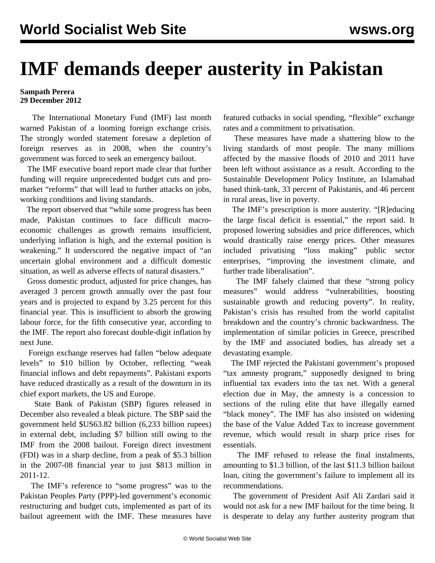## **IMF demands deeper austerity in Pakistan**

## **Sampath Perera 29 December 2012**

 The International Monetary Fund (IMF) last month warned Pakistan of a looming foreign exchange crisis. The strongly worded statement foresaw a depletion of foreign reserves as in 2008, when the country's government was forced to seek an emergency bailout.

 The IMF executive board report made clear that further funding will require unprecedented budget cuts and promarket "reforms" that will lead to further attacks on jobs, working conditions and living standards.

 The report observed that "while some progress has been made, Pakistan continues to face difficult macroeconomic challenges as growth remains insufficient, underlying inflation is high, and the external position is weakening." It underscored the negative impact of "an uncertain global environment and a difficult domestic situation, as well as adverse effects of natural disasters."

 Gross domestic product, adjusted for price changes, has averaged 3 percent growth annually over the past four years and is projected to expand by 3.25 percent for this financial year. This is insufficient to absorb the growing labour force, for the fifth consecutive year, according to the IMF. The report also forecast double-digit inflation by next June.

 Foreign exchange reserves had fallen "below adequate levels" to \$10 billion by October, reflecting "weak financial inflows and debt repayments". Pakistani exports have reduced drastically as a result of the downturn in its chief export markets, the US and Europe.

 State Bank of Pakistan (SBP) figures released in December also revealed a bleak picture. The SBP said the government held \$US63.82 billion (6,233 billion rupees) in external debt, including \$7 billion still owing to the IMF from the 2008 bailout. Foreign direct investment (FDI) was in a sharp decline, from a peak of \$5.3 billion in the 2007-08 financial year to just \$813 million in 2011-12.

 The IMF's reference to "some progress" was to the Pakistan Peoples Party (PPP)-led government's economic restructuring and budget cuts, implemented as part of its bailout agreement with the IMF. These measures have featured cutbacks in social spending, "flexible" exchange rates and a commitment to privatisation.

 These measures have made a shattering blow to the living standards of most people. The many millions affected by the massive floods of 2010 and 2011 have been left without assistance as a result. According to the Sustainable Development Policy Institute, an Islamabad based think-tank, 33 percent of Pakistanis, and 46 percent in rural areas, live in poverty.

 The IMF's prescription is more austerity. "[R]educing the large fiscal deficit is essential," the report said. It proposed lowering subsidies and price differences, which would drastically raise energy prices. Other measures included privatising "loss making" public sector enterprises, "improving the investment climate, and further trade liberalisation".

 The IMF falsely claimed that these "strong policy measures" would address "vulnerabilities, boosting sustainable growth and reducing poverty". In reality, Pakistan's crisis has resulted from the world capitalist breakdown and the country's chronic backwardness. The implementation of similar policies in Greece, prescribed by the IMF and associated bodies, has already set a devastating example.

 The IMF rejected the Pakistani government's proposed "tax amnesty program," supposedly designed to bring influential tax evaders into the tax net. With a general election due in May, the amnesty is a concession to sections of the ruling elite that have illegally earned "black money". The IMF has also insisted on widening the base of the Value Added Tax to increase government revenue, which would result in sharp price rises for essentials.

 The IMF refused to release the final instalments, amounting to \$1.3 billion, of the last \$11.3 billion bailout loan, citing the government's failure to implement all its recommendations.

 The government of President Asif Ali Zardari said it would not ask for a new IMF bailout for the time being. It is desperate to delay any further austerity program that